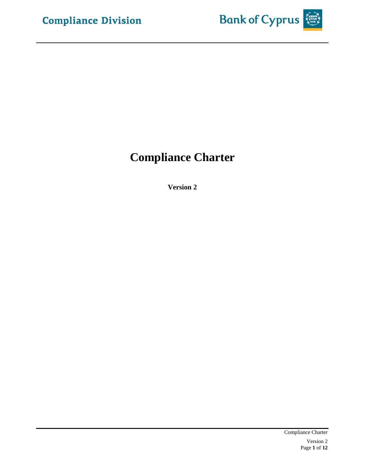

# **Compliance Charter**

**Version 2**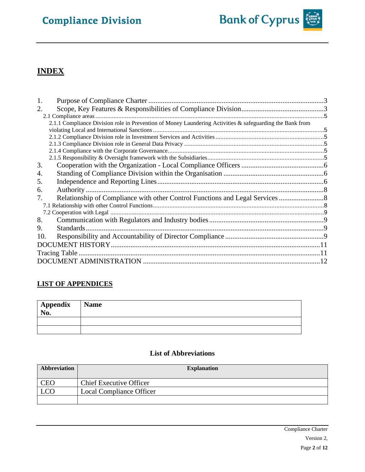# **Compliance Division**



## **INDEX**

| 1.  |                                                                                                          |  |
|-----|----------------------------------------------------------------------------------------------------------|--|
| 2.  |                                                                                                          |  |
|     |                                                                                                          |  |
|     | 2.1.1 Compliance Division role in Prevention of Money Laundering Activities & safeguarding the Bank from |  |
|     |                                                                                                          |  |
|     |                                                                                                          |  |
|     |                                                                                                          |  |
|     |                                                                                                          |  |
|     |                                                                                                          |  |
| 3.  |                                                                                                          |  |
| 4.  |                                                                                                          |  |
| 5.  |                                                                                                          |  |
| 6.  |                                                                                                          |  |
| 7.  | Relationship of Compliance with other Control Functions and Legal Services                               |  |
|     |                                                                                                          |  |
|     |                                                                                                          |  |
| 8.  |                                                                                                          |  |
| 9.  | Standards.                                                                                               |  |
| 10. |                                                                                                          |  |
|     |                                                                                                          |  |
|     |                                                                                                          |  |
|     |                                                                                                          |  |

### **LIST OF APPENDICES**

| Appendix<br>No. | <b>Name</b> |
|-----------------|-------------|
|                 |             |
|                 |             |

#### **List of Abbreviations**

| Abbreviation | <b>Explanation</b>              |
|--------------|---------------------------------|
| CEC          | <b>Chief Executive Officer</b>  |
|              | <b>Local Compliance Officer</b> |
|              |                                 |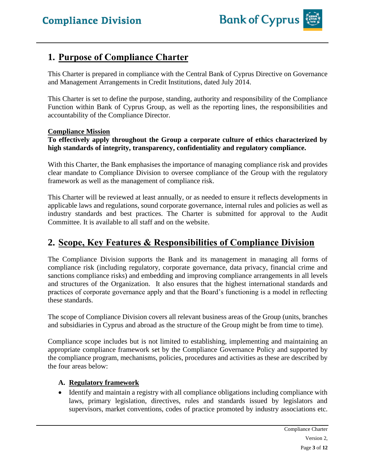## <span id="page-2-0"></span>**1. Purpose of Compliance Charter**

This Charter is prepared in compliance with the Central Bank of Cyprus Directive on Governance and Management Arrangements in Credit Institutions, dated July 2014.

This Charter is set to define the purpose, standing, authority and responsibility of the Compliance Function within Bank of Cyprus Group, as well as the reporting lines, the responsibilities and accountability of the Compliance Director.

#### **Compliance Mission**

#### **To effectively apply throughout the Group a corporate culture of ethics characterized by high standards of integrity, transparency, confidentiality and regulatory compliance.**

With this Charter, the Bank emphasises the importance of managing compliance risk and provides clear mandate to Compliance Division to oversee compliance of the Group with the regulatory framework as well as the management of compliance risk.

This Charter will be reviewed at least annually, or as needed to ensure it reflects developments in applicable laws and regulations, sound corporate governance, internal rules and policies as well as industry standards and best practices. The Charter is submitted for approval to the Audit Committee. It is available to all staff and on the website.

## <span id="page-2-1"></span>**2. Scope, Key Features & Responsibilities of Compliance Division**

The Compliance Division supports the Bank and its management in managing all forms of compliance risk (including regulatory, corporate governance, data privacy, financial crime and sanctions compliance risks) and embedding and improving compliance arrangements in all levels and structures of the Organization. It also ensures that the highest international standards and practices of corporate governance apply and that the Board's functioning is a model in reflecting these standards.

The scope of Compliance Division covers all relevant business areas of the Group (units, branches and subsidiaries in Cyprus and abroad as the structure of the Group might be from time to time).

Compliance scope includes but is not limited to establishing, implementing and maintaining an appropriate compliance framework set by the Compliance Governance Policy and supported by the compliance program, mechanisms, policies, procedures and activities as these are described by the four areas below:

#### **A. Regulatory framework**

• Identify and maintain a registry with all compliance obligations including compliance with laws, primary legislation, directives, rules and standards issued by legislators and supervisors, market conventions, codes of practice promoted by industry associations etc.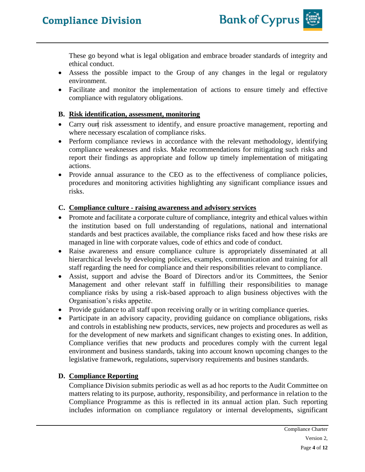These go beyond what is legal obligation and embrace broader standards of integrity and ethical conduct.

- Assess the possible impact to the Group of any changes in the legal or regulatory environment.
- Facilitate and monitor the implementation of actions to ensure timely and effective compliance with regulatory obligations.

#### **B. Risk identification, assessment, monitoring**

- Carry ourt risk assessment to identify, and ensure proactive management, reporting and where necessary escalation of compliance risks.
- Perform compliance reviews in accordance with the relevant methodology, identifying compliance weaknesses and risks. Make recommendations for mitigating such risks and report their findings as appropriate and follow up timely implementation of mitigating actions.
- Provide annual assurance to the CEO as to the effectiveness of compliance policies, procedures and monitoring activities highlighting any significant compliance issues and risks.

### **C. Compliance culture - raising awareness and advisory services**

- Promote and facilitate a corporate culture of compliance, integrity and ethical values within the institution based on full understanding of regulations, national and international standards and best practices available, the compliance risks faced and how these risks are managed in line with corporate values, code of ethics and code of conduct.
- Raise awareness and ensure compliance culture is appropriately disseminated at all hierarchical levels by developing policies, examples, communication and training for all staff regarding the need for compliance and their responsibilities relevant to compliance.
- Assist, support and advise the Board of Directors and/or its Committees, the Senior Management and other relevant staff in fulfilling their responsibilities to manage compliance risks by using a risk-based approach to align business objectives with the Organisation's risks appetite.
- Provide guidance to all staff upon receiving orally or in writing compliance queries.
- Participate in an advisory capacity, providing guidance on compliance obligations, risks and controls in establishing new products, services, new projects and procedures as well as for the development of new markets and significant changes to existing ones. In addition, Compliance verifies that new products and procedures comply with the current legal environment and business standards, taking into account known upcoming changes to the legislative framework, regulations, supervisory requirements and busines standards.

### **D. Compliance Reporting**

Compliance Division submits periodic as well as ad hoc reports to the Audit Committee on matters relating to its purpose, authority, responsibility, and performance in relation to the Compliance Programme as this is reflected in its annual action plan. Such reporting includes information on compliance regulatory or internal developments, significant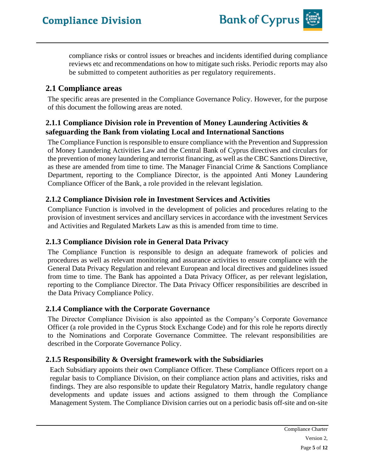compliance risks or control issues or breaches and incidents identified during compliance reviews etc and recommendations on how to mitigate such risks. Periodic reports may also be submitted to competent authorities as per regulatory requirements.

### <span id="page-4-0"></span>**2.1 Compliance areas**

The specific areas are presented in the Compliance Governance Policy. However, for the purpose of this document the following areas are noted.

### <span id="page-4-1"></span>**2.1.1 Compliance Division role in Prevention of Money Laundering Activities & safeguarding the Bank from violating Local and International Sanctions**

The Compliance Function is responsible to ensure compliance with the Prevention and Suppression of Money Laundering Activities Law and the Central Bank of Cyprus directives and circulars for the prevention of money laundering and terrorist financing, as well as the CBC Sanctions Directive, as these are amended from time to time. The Manager Financial Crime & Sanctions Compliance Department, reporting to the Compliance Director, is the appointed Anti Money Laundering Compliance Officer of the Bank, a role provided in the relevant legislation.

### <span id="page-4-2"></span>**2.1.2 Compliance Division role in Investment Services and Activities**

Compliance Function is involved in the development of policies and procedures relating to the provision of investment services and ancillary services in accordance with the investment Services and Activities and Regulated Markets Law as this is amended from time to time.

### <span id="page-4-3"></span>**2.1.3 Compliance Division role in General Data Privacy**

The Compliance Function is responsible to design an adequate framework of policies and procedures as well as relevant monitoring and assurance activities to ensure compliance with the General Data Privacy Regulation and relevant European and local directives and guidelines issued from time to time. The Bank has appointed a Data Privacy Officer, as per relevant legislation, reporting to the Compliance Director. The Data Privacy Officer responsibilities are described in the Data Privacy Compliance Policy.

### <span id="page-4-4"></span>**2.1.4 Compliance with the Corporate Governance**

The Director Compliance Division is also appointed as the Company's Corporate Governance Officer (a role provided in the Cyprus Stock Exchange Code) and for this role he reports directly to the Nominations and Corporate Governance Committee. The relevant responsibilities are described in the Corporate Governance Policy.

### <span id="page-4-5"></span>**2.1.5 Responsibility & Oversight framework with the Subsidiaries**

Each Subsidiary appoints their own Compliance Officer. These Compliance Officers report on a regular basis to Compliance Division, on their compliance action plans and activities, risks and findings. They are also responsible to update their Regulatory Matrix, handle regulatory change developments and update issues and actions assigned to them through the Compliance Management System. The Compliance Division carries out on a periodic basis off-site and on-site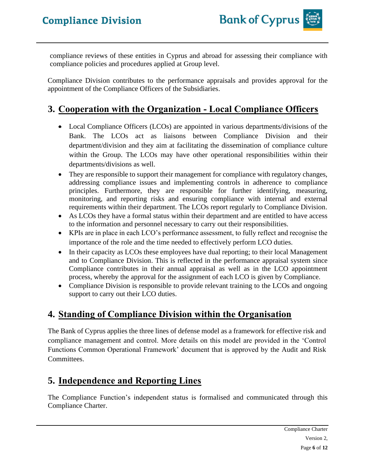compliance reviews of these entities in Cyprus and abroad for assessing their compliance with compliance policies and procedures applied at Group level.

Compliance Division contributes to the performance appraisals and provides approval for the appointment of the Compliance Officers of the Subsidiaries.

## <span id="page-5-0"></span>**3. Cooperation with the Organization - Local Compliance Officers**

- Local Compliance Officers (LCOs) are appointed in various departments/divisions of the Bank. The LCOs act as liaisons between Compliance Division and their department/division and they aim at facilitating the dissemination of compliance culture within the Group. The LCOs may have other operational responsibilities within their departments/divisions as well.
- They are responsible to support their management for compliance with regulatory changes, addressing compliance issues and implementing controls in adherence to compliance principles. Furthermore, they are responsible for further identifying, measuring, monitoring, and reporting risks and ensuring compliance with internal and external requirements within their department. The LCOs report regularly to Compliance Division.
- As LCOs they have a formal status within their department and are entitled to have access to the information and personnel necessary to carry out their responsibilities.
- KPIs are in place in each LCO's performance assessment, to fully reflect and recognise the importance of the role and the time needed to effectively perform LCO duties.
- In their capacity as LCOs these employees have dual reporting; to their local Management and to Compliance Division. This is reflected in the performance appraisal system since Compliance contributes in their annual appraisal as well as in the LCO appointment process, whereby the approval for the assignment of each LCO is given by Compliance.
- Compliance Division is responsible to provide relevant training to the LCOs and ongoing support to carry out their LCO duties.

## <span id="page-5-1"></span>**4. Standing of Compliance Division within the Organisation**

The Bank of Cyprus applies the three lines of defense model as a framework for effective risk and compliance management and control. More details on this model are provided in the 'Control Functions Common Operational Framework' document that is approved by the Audit and Risk Committees.

## <span id="page-5-2"></span>**5. Independence and Reporting Lines**

The Compliance Function's independent status is formalised and communicated through this Compliance Charter.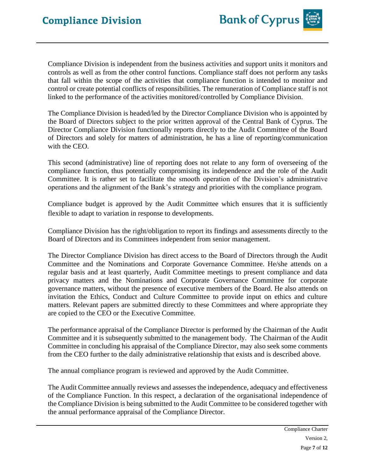Compliance Division is independent from the business activities and support units it monitors and controls as well as from the other control functions. Compliance staff does not perform any tasks that fall within the scope of the activities that compliance function is intended to monitor and control or create potential conflicts of responsibilities. The remuneration of Compliance staff is not linked to the performance of the activities monitored/controlled by Compliance Division.

The Compliance Division is headed/led by the Director Compliance Division who is appointed by the Board of Directors subject to the prior written approval of the Central Bank of Cyprus. The Director Compliance Division functionally reports directly to the Audit Committee of the Board of Directors and solely for matters of administration, he has a line of reporting/communication with the CEO.

This second (administrative) line of reporting does not relate to any form of overseeing of the compliance function, thus potentially compromising its independence and the role of the Audit Committee. It is rather set to facilitate the smooth operation of the Division's administrative operations and the alignment of the Bank's strategy and priorities with the compliance program.

Compliance budget is approved by the Audit Committee which ensures that it is sufficiently flexible to adapt to variation in response to developments.

Compliance Division has the right/obligation to report its findings and assessments directly to the Board of Directors and its Committees independent from senior management.

The Director Compliance Division has direct access to the Board of Directors through the Audit Committee and the Nominations and Corporate Governance Committee. He/she attends on a regular basis and at least quarterly, Audit Committee meetings to present compliance and data privacy matters and the Nominations and Corporate Governance Committee for corporate governance matters, without the presence of executive members of the Board. He also attends on invitation the Ethics, Conduct and Culture Committee to provide input on ethics and culture matters. Relevant papers are submitted directly to these Committees and where appropriate they are copied to the CEO or the Executive Committee.

The performance appraisal of the Compliance Director is performed by the Chairman of the Audit Committee and it is subsequently submitted to the management body. The Chairman of the Audit Committee in concluding his appraisal of the Compliance Director, may also seek some comments from the CEO further to the daily administrative relationship that exists and is described above.

The annual compliance program is reviewed and approved by the Audit Committee.

The Audit Committee annually reviews and assesses the independence, adequacy and effectiveness of the Compliance Function. In this respect, a declaration of the organisational independence of the Compliance Division is being submitted to the Audit Committee to be considered together with the annual performance appraisal of the Compliance Director.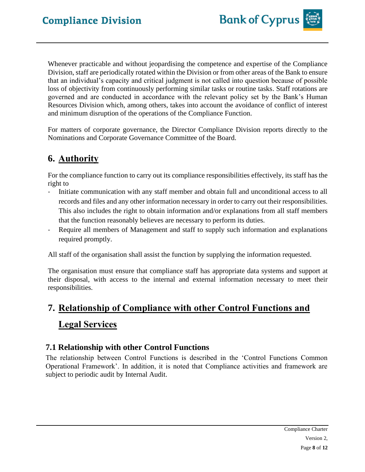Whenever practicable and without jeopardising the competence and expertise of the Compliance Division, staff are periodically rotated within the Division or from other areas of the Bank to ensure that an individual's capacity and critical judgment is not called into question because of possible loss of objectivity from continuously performing similar tasks or routine tasks. Staff rotations are governed and are conducted in accordance with the relevant policy set by the Bank's Human Resources Division which, among others, takes into account the avoidance of conflict of interest and minimum disruption of the operations of the Compliance Function.

For matters of corporate governance, the Director Compliance Division reports directly to the Nominations and Corporate Governance Committee of the Board.

## <span id="page-7-0"></span>**6. Authority**

For the compliance function to carry out its compliance responsibilities effectively, its staff has the right to

- Initiate communication with any staff member and obtain full and unconditional access to all records and files and any other information necessary in order to carry out their responsibilities. This also includes the right to obtain information and/or explanations from all staff members that the function reasonably believes are necessary to perform its duties.
- Require all members of Management and staff to supply such information and explanations required promptly.

All staff of the organisation shall assist the function by supplying the information requested.

The organisation must ensure that compliance staff has appropriate data systems and support at their disposal, with access to the internal and external information necessary to meet their responsibilities.

# <span id="page-7-1"></span>**7. Relationship of Compliance with other Control Functions and Legal Services**

## <span id="page-7-2"></span>**7.1 Relationship with other Control Functions**

The relationship between Control Functions is described in the 'Control Functions Common Operational Framework'. In addition, it is noted that Compliance activities and framework are subject to periodic audit by Internal Audit.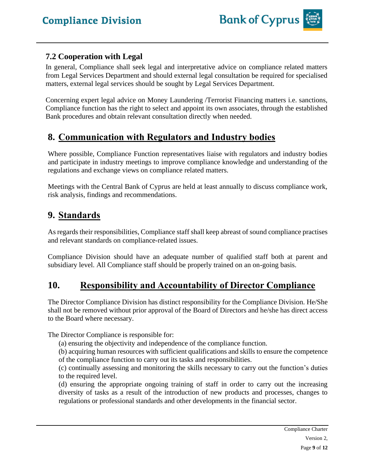

### <span id="page-8-0"></span>**7.2 Cooperation with Legal**

In general, Compliance shall seek legal and interpretative advice on compliance related matters from Legal Services Department and should external legal consultation be required for specialised matters, external legal services should be sought by Legal Services Department.

Concerning expert legal advice on Money Laundering /Terrorist Financing matters i.e. sanctions, Compliance function has the right to select and appoint its own associates, through the established Bank procedures and obtain relevant consultation directly when needed.

## <span id="page-8-1"></span>**8. Communication with Regulators and Industry bodies**

Where possible, Compliance Function representatives liaise with regulators and industry bodies and participate in industry meetings to improve compliance knowledge and understanding of the regulations and exchange views on compliance related matters.

Meetings with the Central Bank of Cyprus are held at least annually to discuss compliance work, risk analysis, findings and recommendations.

## <span id="page-8-2"></span>**9. Standards**

As regards their responsibilities, Compliance staff shall keep abreast of sound compliance practises and relevant standards on compliance-related issues.

Compliance Division should have an adequate number of qualified staff both at parent and subsidiary level. All Compliance staff should be properly trained on an on-going basis.

## <span id="page-8-3"></span>**10. Responsibility and Accountability of Director Compliance**

The Director Compliance Division has distinct responsibility for the Compliance Division. He/She shall not be removed without prior approval of the Board of Directors and he/she has direct access to the Board where necessary.

The Director Compliance is responsible for:

(a) ensuring the objectivity and independence of the compliance function.

(b) acquiring human resources with sufficient qualifications and skills to ensure the competence of the compliance function to carry out its tasks and responsibilities.

(c) continually assessing and monitoring the skills necessary to carry out the function's duties to the required level.

(d) ensuring the appropriate ongoing training of staff in order to carry out the increasing diversity of tasks as a result of the introduction of new products and processes, changes to regulations or professional standards and other developments in the financial sector.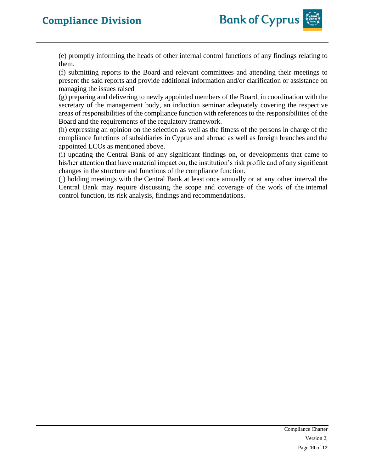# **Compliance Division**



(e) promptly informing the heads of other internal control functions of any findings relating to them.

(f) submitting reports to the Board and relevant committees and attending their meetings to present the said reports and provide additional information and/or clarification or assistance on managing the issues raised

(g) preparing and delivering to newly appointed members of the Board, in coordination with the secretary of the management body, an induction seminar adequately covering the respective areas of responsibilities of the compliance function with references to the responsibilities of the Board and the requirements of the regulatory framework.

(h) expressing an opinion on the selection as well as the fitness of the persons in charge of the compliance functions of subsidiaries in Cyprus and abroad as well as foreign branches and the appointed LCOs as mentioned above.

(i) updating the Central Bank of any significant findings on, or developments that came to his/her attention that have material impact on, the institution's risk profile and of any significant changes in the structure and functions of the compliance function.

(j) holding meetings with the Central Bank at least once annually or at any other interval the Central Bank may require discussing the scope and coverage of the work of the internal control function, its risk analysis, findings and recommendations.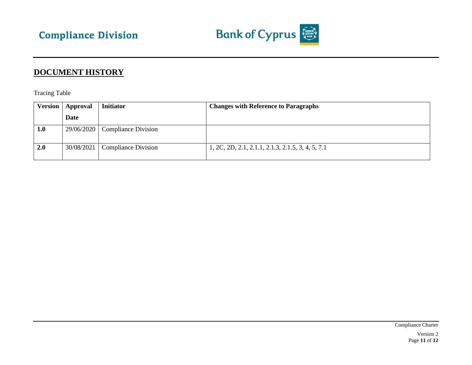

## **DOCUMENT HISTORY**

Tracing Table

<span id="page-10-1"></span><span id="page-10-0"></span>

| Version | Approval   | <b>Initiator</b>           | <b>Changes with Reference to Paragraphs</b>       |
|---------|------------|----------------------------|---------------------------------------------------|
|         | Date       |                            |                                                   |
| 1.0     | 29/06/2020 | Compliance Division        |                                                   |
| 2.0     | 30/08/2021 | <b>Compliance Division</b> | 1, 2C, 2D, 2.1, 2.1.1, 2.1.3, 2.1.5, 3, 4, 5, 7.1 |